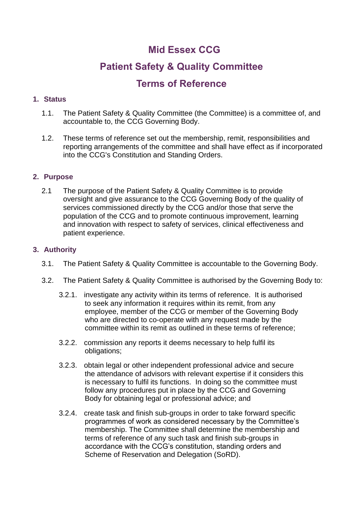## **Mid Essex CCG**

# **Patient Safety & Quality Committee**

## **Terms of Reference**

## **1. Status**

- 1.1. The Patient Safety & Quality Committee (the Committee) is a committee of, and accountable to, the CCG Governing Body.
- 1.2. These terms of reference set out the membership, remit, responsibilities and reporting arrangements of the committee and shall have effect as if incorporated into the CCG's Constitution and Standing Orders.

## **2. Purpose**

2.1 The purpose of the Patient Safety & Quality Committee is to provide oversight and give assurance to the CCG Governing Body of the quality of services commissioned directly by the CCG and/or those that serve the population of the CCG and to promote continuous improvement, learning and innovation with respect to safety of services, clinical effectiveness and patient experience.

## **3. Authority**

- 3.1. The Patient Safety & Quality Committee is accountable to the Governing Body.
- 3.2. The Patient Safety & Quality Committee is authorised by the Governing Body to:
	- 3.2.1. investigate any activity within its terms of reference. It is authorised to seek any information it requires within its remit, from any employee, member of the CCG or member of the Governing Body who are directed to co-operate with any request made by the committee within its remit as outlined in these terms of reference;
	- 3.2.2. commission any reports it deems necessary to help fulfil its obligations;
	- 3.2.3. obtain legal or other independent professional advice and secure the attendance of advisors with relevant expertise if it considers this is necessary to fulfil its functions. In doing so the committee must follow any procedures put in place by the CCG and Governing Body for obtaining legal or professional advice; and
	- 3.2.4. create task and finish sub-groups in order to take forward specific programmes of work as considered necessary by the Committee's membership. The Committee shall determine the membership and terms of reference of any such task and finish sub-groups in accordance with the CCG's constitution, standing orders and Scheme of Reservation and Delegation (SoRD).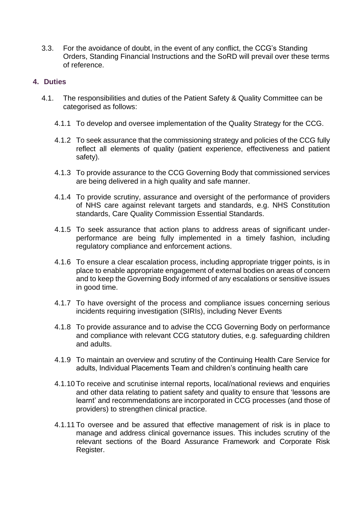3.3. For the avoidance of doubt, in the event of any conflict, the CCG's Standing Orders, Standing Financial Instructions and the SoRD will prevail over these terms of reference.

## **4. Duties**

- 4.1. The responsibilities and duties of the Patient Safety & Quality Committee can be categorised as follows:
	- 4.1.1 To develop and oversee implementation of the Quality Strategy for the CCG.
	- 4.1.2 To seek assurance that the commissioning strategy and policies of the CCG fully reflect all elements of quality (patient experience, effectiveness and patient safety).
	- 4.1.3 To provide assurance to the CCG Governing Body that commissioned services are being delivered in a high quality and safe manner.
	- 4.1.4 To provide scrutiny, assurance and oversight of the performance of providers of NHS care against relevant targets and standards, e.g. NHS Constitution standards, Care Quality Commission Essential Standards.
	- 4.1.5 To seek assurance that action plans to address areas of significant underperformance are being fully implemented in a timely fashion, including regulatory compliance and enforcement actions.
	- 4.1.6 To ensure a clear escalation process, including appropriate trigger points, is in place to enable appropriate engagement of external bodies on areas of concern and to keep the Governing Body informed of any escalations or sensitive issues in good time.
	- 4.1.7 To have oversight of the process and compliance issues concerning serious incidents requiring investigation (SIRIs), including Never Events
	- 4.1.8 To provide assurance and to advise the CCG Governing Body on performance and compliance with relevant CCG statutory duties, e.g. safeguarding children and adults.
	- 4.1.9 To maintain an overview and scrutiny of the Continuing Health Care Service for adults, Individual Placements Team and children's continuing health care
	- 4.1.10 To receive and scrutinise internal reports, local/national reviews and enquiries and other data relating to patient safety and quality to ensure that 'lessons are learnt' and recommendations are incorporated in CCG processes (and those of providers) to strengthen clinical practice.
	- 4.1.11 To oversee and be assured that effective management of risk is in place to manage and address clinical governance issues. This includes scrutiny of the relevant sections of the Board Assurance Framework and Corporate Risk Register.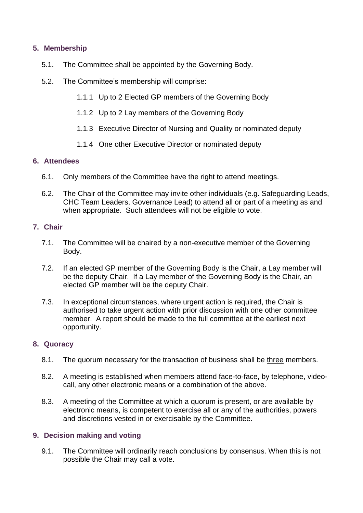## **5. Membership**

- 5.1. The Committee shall be appointed by the Governing Body.
- 5.2. The Committee's membership will comprise:
	- 1.1.1 Up to 2 Elected GP members of the Governing Body
	- 1.1.2 Up to 2 Lay members of the Governing Body
	- 1.1.3 Executive Director of Nursing and Quality or nominated deputy
	- 1.1.4 One other Executive Director or nominated deputy

### **6. Attendees**

- 6.1. Only members of the Committee have the right to attend meetings.
- 6.2. The Chair of the Committee may invite other individuals (e.g. Safeguarding Leads, CHC Team Leaders, Governance Lead) to attend all or part of a meeting as and when appropriate. Such attendees will not be eligible to vote.

### **7. Chair**

- 7.1. The Committee will be chaired by a non-executive member of the Governing Body.
- 7.2. If an elected GP member of the Governing Body is the Chair, a Lay member will be the deputy Chair. If a Lay member of the Governing Body is the Chair, an elected GP member will be the deputy Chair.
- 7.3. In exceptional circumstances, where urgent action is required, the Chair is authorised to take urgent action with prior discussion with one other committee member. A report should be made to the full committee at the earliest next opportunity.

### **8. Quoracy**

- 8.1. The quorum necessary for the transaction of business shall be three members.
- 8.2. A meeting is established when members attend face-to-face, by telephone, videocall, any other electronic means or a combination of the above.
- 8.3. A meeting of the Committee at which a quorum is present, or are available by electronic means, is competent to exercise all or any of the authorities, powers and discretions vested in or exercisable by the Committee.

### **9. Decision making and voting**

9.1. The Committee will ordinarily reach conclusions by consensus. When this is not possible the Chair may call a vote.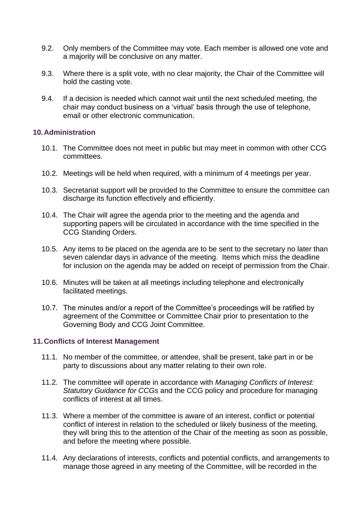- 9.2. Only members of the Committee may vote. Each member is allowed one vote and a majority will be conclusive on any matter.
- 9.3. Where there is a split vote, with no clear majority, the Chair of the Committee will hold the casting vote.
- 9.4. If a decision is needed which cannot wait until the next scheduled meeting, the chair may conduct business on a 'virtual' basis through the use of telephone, email or other electronic communication.

#### **10.Administration**

- 10.1. The Committee does not meet in public but may meet in common with other CCG committees.
- 10.2. Meetings will be held when required, with a minimum of 4 meetings per year.
- 10.3. Secretariat support will be provided to the Committee to ensure the committee can discharge its function effectively and efficiently.
- 10.4. The Chair will agree the agenda prior to the meeting and the agenda and supporting papers will be circulated in accordance with the time specified in the CCG Standing Orders.
- 10.5. Any items to be placed on the agenda are to be sent to the secretary no later than seven calendar days in advance of the meeting. Items which miss the deadline for inclusion on the agenda may be added on receipt of permission from the Chair.
- 10.6. Minutes will be taken at all meetings including telephone and electronically facilitated meetings.
- 10.7. The minutes and/or a report of the Committee's proceedings will be ratified by agreement of the Committee or Committee Chair prior to presentation to the Governing Body and CCG Joint Committee.

#### **11.Conflicts of Interest Management**

- 11.1. No member of the committee, or attendee, shall be present, take part in or be party to discussions about any matter relating to their own role.
- 11.2. The committee will operate in accordance with *Managing Conflicts of Interest: Statutory Guidance for CCGs* and the CCG policy and procedure for managing conflicts of interest at all times.
- 11.3. Where a member of the committee is aware of an interest, conflict or potential conflict of interest in relation to the scheduled or likely business of the meeting, they will bring this to the attention of the Chair of the meeting as soon as possible, and before the meeting where possible.
- 11.4. Any declarations of interests, conflicts and potential conflicts, and arrangements to manage those agreed in any meeting of the Committee, will be recorded in the